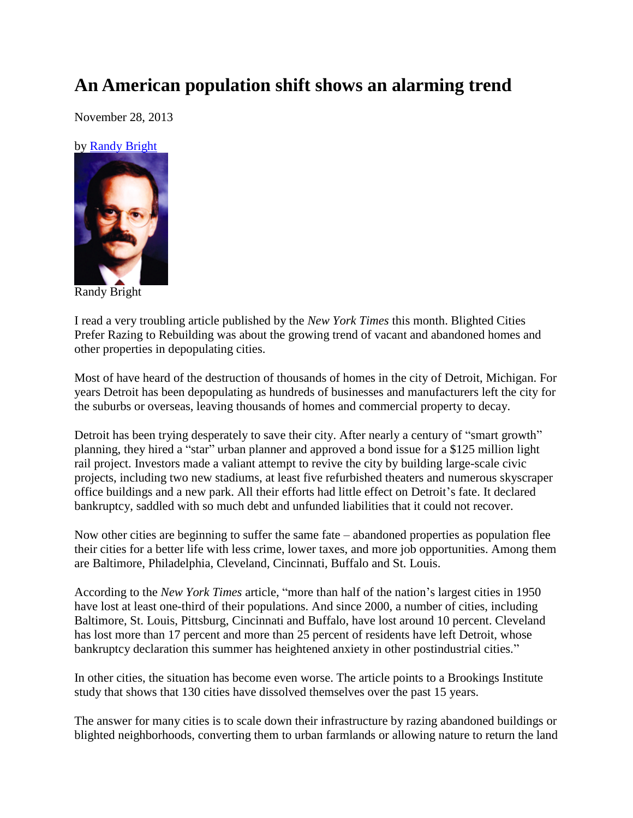## **An American population shift shows an alarming trend**

November 28, 2013

## by [Randy Bright](http://tulsabeacon.com/writers/randy-bright/)



Randy Bright

I read a very troubling article published by the *New York Times* this month. Blighted Cities Prefer Razing to Rebuilding was about the growing trend of vacant and abandoned homes and other properties in depopulating cities.

Most of have heard of the destruction of thousands of homes in the city of Detroit, Michigan. For years Detroit has been depopulating as hundreds of businesses and manufacturers left the city for the suburbs or overseas, leaving thousands of homes and commercial property to decay.

Detroit has been trying desperately to save their city. After nearly a century of "smart growth" planning, they hired a "star" urban planner and approved a bond issue for a \$125 million light rail project. Investors made a valiant attempt to revive the city by building large-scale civic projects, including two new stadiums, at least five refurbished theaters and numerous skyscraper office buildings and a new park. All their efforts had little effect on Detroit's fate. It declared bankruptcy, saddled with so much debt and unfunded liabilities that it could not recover.

Now other cities are beginning to suffer the same fate – abandoned properties as population flee their cities for a better life with less crime, lower taxes, and more job opportunities. Among them are Baltimore, Philadelphia, Cleveland, Cincinnati, Buffalo and St. Louis.

According to the *New York Times* article, "more than half of the nation's largest cities in 1950 have lost at least one-third of their populations. And since 2000, a number of cities, including Baltimore, St. Louis, Pittsburg, Cincinnati and Buffalo, have lost around 10 percent. Cleveland has lost more than 17 percent and more than 25 percent of residents have left Detroit, whose bankruptcy declaration this summer has heightened anxiety in other postindustrial cities."

In other cities, the situation has become even worse. The article points to a Brookings Institute study that shows that 130 cities have dissolved themselves over the past 15 years.

The answer for many cities is to scale down their infrastructure by razing abandoned buildings or blighted neighborhoods, converting them to urban farmlands or allowing nature to return the land